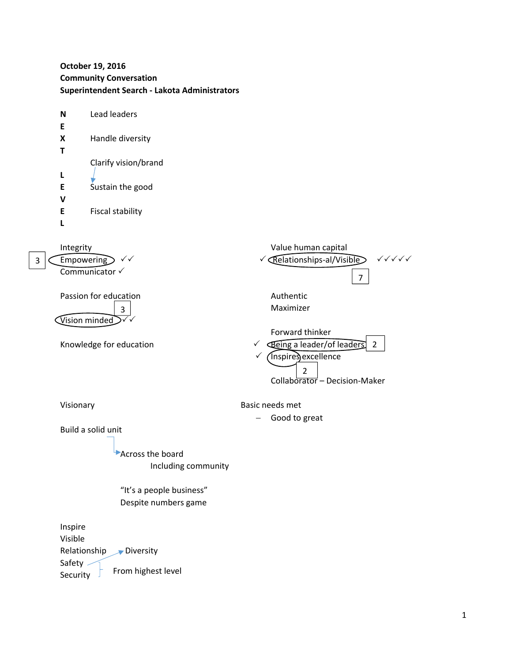**October 19, 2016 Community Conversation Superintendent Search ‐ Lakota Administrators**

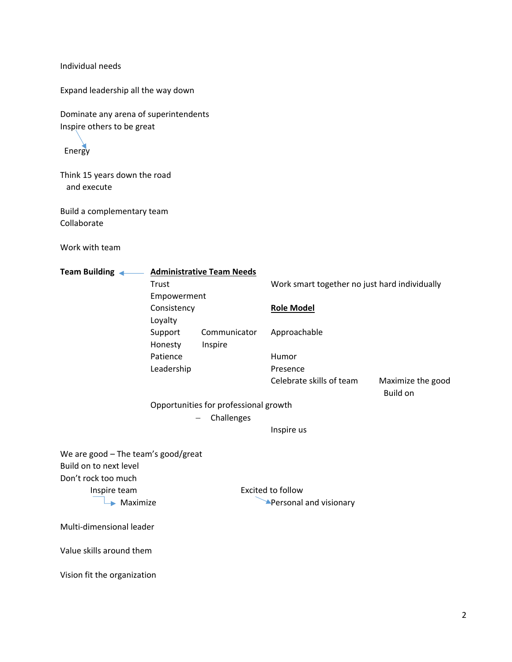Individual needs

Expand leadership all the way down

Dominate any arena of superintendents Inspire others to be great

Energy

Think 15 years down the road and execute

Build a complementary team Collaborate

Work with team

| <b>Administrative Team Needs</b><br>Team Building $\leftarrow$<br>$\sim$ |                                       |              |                                               |                               |
|--------------------------------------------------------------------------|---------------------------------------|--------------|-----------------------------------------------|-------------------------------|
|                                                                          | Trust                                 |              | Work smart together no just hard individually |                               |
|                                                                          | Empowerment                           |              |                                               |                               |
|                                                                          | Consistency                           |              | <b>Role Model</b>                             |                               |
|                                                                          | Loyalty                               |              |                                               |                               |
|                                                                          | Support                               | Communicator | Approachable                                  |                               |
|                                                                          | Honesty                               | Inspire      |                                               |                               |
|                                                                          | Patience                              |              | Humor                                         |                               |
|                                                                          | Leadership                            |              | Presence                                      |                               |
|                                                                          |                                       |              | Celebrate skills of team                      | Maximize the good<br>Build on |
|                                                                          | Opportunities for professional growth |              |                                               |                               |
|                                                                          | Challenges                            |              |                                               |                               |
|                                                                          |                                       |              | Inspire us                                    |                               |
|                                                                          |                                       |              |                                               |                               |
| We are good $-$ The team's good/great                                    |                                       |              |                                               |                               |
| Build on to next level                                                   |                                       |              |                                               |                               |
| Don't rock too much                                                      |                                       |              |                                               |                               |
| Inspire team                                                             |                                       |              | Excited to follow                             |                               |
| $\blacktriangleright$ Maximize                                           |                                       |              | <b>Personal and visionary</b>                 |                               |
|                                                                          |                                       |              |                                               |                               |
| Multi-dimensional leader                                                 |                                       |              |                                               |                               |
| Value skills around them                                                 |                                       |              |                                               |                               |
| Vision fit the organization                                              |                                       |              |                                               |                               |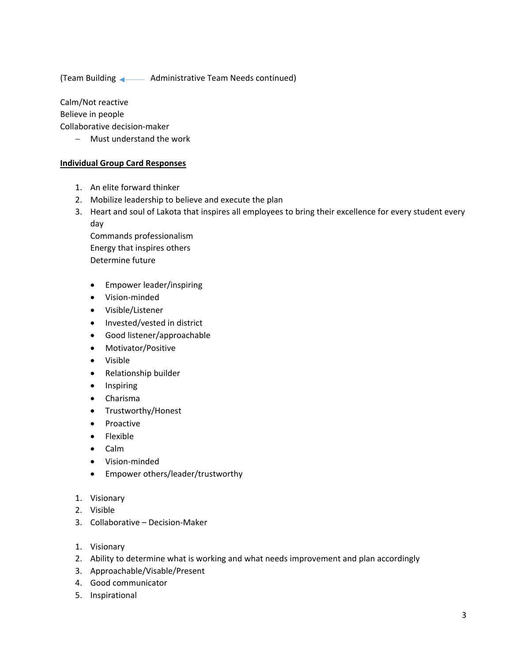(Team Building Administrative Team Needs continued)

Calm/Not reactive

Believe in people

Collaborative decision‐maker

Must understand the work

## **Individual Group Card Responses**

- 1. An elite forward thinker
- 2. Mobilize leadership to believe and execute the plan
- 3. Heart and soul of Lakota that inspires all employees to bring their excellence for every student every day

Commands professionalism Energy that inspires others Determine future

- Empower leader/inspiring
- Vision‐minded
- Visible/Listener
- Invested/vested in district
- Good listener/approachable
- Motivator/Positive
- Visible
- Relationship builder
- Inspiring
- Charisma
- Trustworthy/Honest
- Proactive
- Flexible
- Calm
- Vision‐minded
- Empower others/leader/trustworthy
- 1. Visionary
- 2. Visible
- 3. Collaborative Decision‐Maker
- 1. Visionary
- 2. Ability to determine what is working and what needs improvement and plan accordingly
- 3. Approachable/Visable/Present
- 4. Good communicator
- 5. Inspirational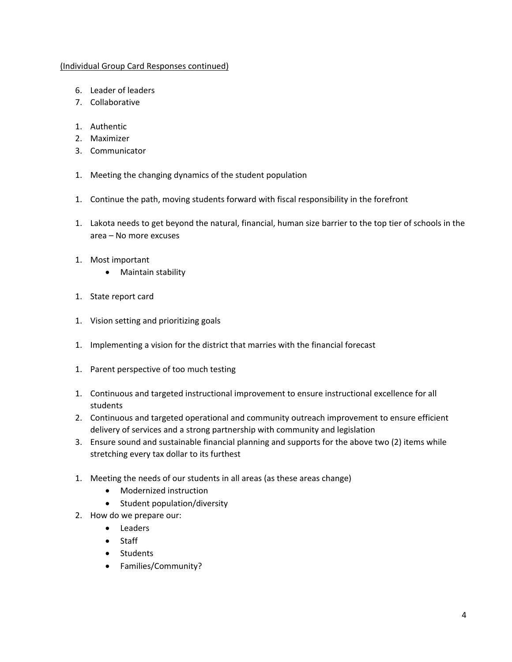## (Individual Group Card Responses continued)

- 6. Leader of leaders
- 7. Collaborative
- 1. Authentic
- 2. Maximizer
- 3. Communicator
- 1. Meeting the changing dynamics of the student population
- 1. Continue the path, moving students forward with fiscal responsibility in the forefront
- 1. Lakota needs to get beyond the natural, financial, human size barrier to the top tier of schools in the area – No more excuses
- 1. Most important
	- Maintain stability
- 1. State report card
- 1. Vision setting and prioritizing goals
- 1. Implementing a vision for the district that marries with the financial forecast
- 1. Parent perspective of too much testing
- 1. Continuous and targeted instructional improvement to ensure instructional excellence for all students
- 2. Continuous and targeted operational and community outreach improvement to ensure efficient delivery of services and a strong partnership with community and legislation
- 3. Ensure sound and sustainable financial planning and supports for the above two (2) items while stretching every tax dollar to its furthest
- 1. Meeting the needs of our students in all areas (as these areas change)
	- Modernized instruction
	- Student population/diversity
- 2. How do we prepare our:
	- Leaders
	- Staff
	- Students
	- Families/Community?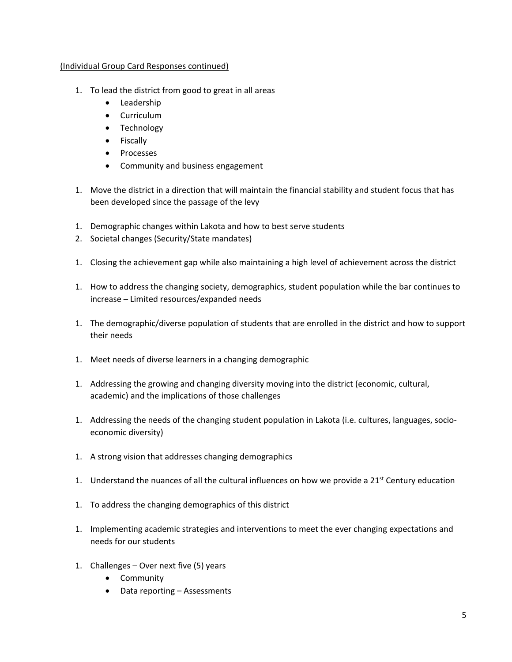## (Individual Group Card Responses continued)

- 1. To lead the district from good to great in all areas
	- Leadership
	- Curriculum
	- Technology
	- Fiscally
	- Processes
	- Community and business engagement
- 1. Move the district in a direction that will maintain the financial stability and student focus that has been developed since the passage of the levy
- 1. Demographic changes within Lakota and how to best serve students
- 2. Societal changes (Security/State mandates)
- 1. Closing the achievement gap while also maintaining a high level of achievement across the district
- 1. How to address the changing society, demographics, student population while the bar continues to increase – Limited resources/expanded needs
- 1. The demographic/diverse population of students that are enrolled in the district and how to support their needs
- 1. Meet needs of diverse learners in a changing demographic
- 1. Addressing the growing and changing diversity moving into the district (economic, cultural, academic) and the implications of those challenges
- 1. Addressing the needs of the changing student population in Lakota (i.e. cultures, languages, socio‐ economic diversity)
- 1. A strong vision that addresses changing demographics
- 1. Understand the nuances of all the cultural influences on how we provide a 21<sup>st</sup> Century education
- 1. To address the changing demographics of this district
- 1. Implementing academic strategies and interventions to meet the ever changing expectations and needs for our students
- 1. Challenges Over next five (5) years
	- **•** Community
	- Data reporting Assessments